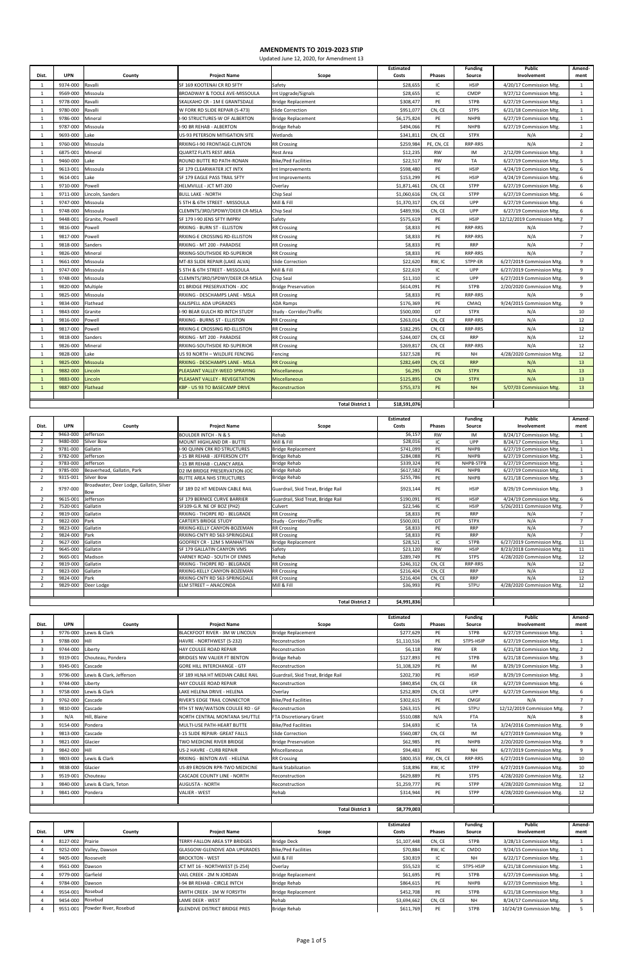|              |            |                  |                                     |                            | <b>Estimated</b> |               | <b>Funding</b> | <b>Public</b>              | Amend-         |
|--------------|------------|------------------|-------------------------------------|----------------------------|------------------|---------------|----------------|----------------------------|----------------|
| Dist.        | <b>UPN</b> | County           | <b>Project Name</b>                 | Scope                      | Costs            | <b>Phases</b> | Source         | Involvement                | ment           |
| $\mathbf{1}$ | 9374-000   | Ravalli          | SF 169 KOOTENAI CR RD SFTY          | Safety                     | \$28,655         | IC            | <b>HSIP</b>    | 4/20/17 Commission Mtg.    | $\mathbf{1}$   |
| 1            | 9569-000   | Missoula         | BROADWAY & TOOLE AVE-MISSOULA       | Int Upgrade/Signals        | \$28,655         | IC            | CMDP           | 9/27/12 Commission Mtg     | $\mathbf{1}$   |
| $\mathbf{1}$ | 9778-000   | Ravalli          | SKALKAHO CR - 1M E GRANTSDALE       | <b>Bridge Replacement</b>  | \$308,477        | PE            | <b>STPB</b>    | 6/27/19 Commission Mtg.    | $\mathbf{1}$   |
| 1            | 9780-000   | Ravalli          | W FORK RD SLIDE REPAIR (S-473)      | Slide Correction           | \$951.077        | CN, CE        | <b>STPS</b>    | 6/21/18 Commission Mtg.    | $\mathbf{1}$   |
| 1            | 9786-000   | Mineral          | I-90 STRUCTURES-W OF ALBERTON       | <b>Bridge Replacement</b>  | \$6,175,824      | PE            | <b>NHPB</b>    | 6/27/19 Commission Mtg.    | $\mathbf{1}$   |
| $\mathbf{1}$ | 9787-000   | Missoula         | <b>I-90 BR REHAB - ALBERTON</b>     | <b>Bridge Rehab</b>        | \$494,066        | PE            | <b>NHPB</b>    | 6/27/19 Commission Mtg.    | $\mathbf{1}$   |
| $\mathbf{1}$ | 9693-000   | Lake             | US-93 PETERSON MITIGATION SITE      | Wetlands                   | \$341,811        | CN, CE        | <b>STPX</b>    | N/A                        | $\overline{2}$ |
| 1            | 9760-000   | Missoula         | RRXING-I-90 FRONTAGE-CLINTON        | <b>RR Crossing</b>         | \$259,984        | PE, CN, CE    | <b>RRP-RRS</b> | N/A                        | $\overline{2}$ |
| $\mathbf{1}$ | 6875-001   | Mineral          | <b>QUARTZ FLATS REST AREA</b>       | Rest Area                  | \$12,235         | <b>RW</b>     | IM             | 2/12/09 Commission Mtg.    | 3              |
| 1            | 9460-000   | Lake             | ROUND BUTTE RD PATH-RONAN           | <b>Bike/Ped Facilities</b> | \$22,517         | <b>RW</b>     | TA             | 6/27/19 Commission Mtg.    | 5              |
| 1            | 9613-001   | Missoula         | SF 179 CLEARWATER JCT INTX          | Int Improvements           | \$598,480        | PE            | <b>HSIP</b>    | 4/24/19 Commission Mtg.    | 6              |
| 1            | 9614-001   | Lake             | SF 179 EAGLE PASS TRAIL SFTY        | Int Improvements           | \$153,299        | PE            | <b>HSIP</b>    | 4/24/19 Commission Mtg.    | 6              |
| 1            | 9710-000   | Powell           | HELMVILLE - JCT MT-200              | Overlay                    | \$1,871,461      | CN, CE        | <b>STPP</b>    | 6/27/19 Commission Mtg.    | 6              |
| 1            | 9711-000   | Lincoln, Sanders | <b>BULL LAKE - NORTH</b>            | Chip Seal                  | \$1,060,616      | CN, CE        | <b>STPP</b>    | 6/27/19 Commission Mtg     | 6              |
| $\mathbf{1}$ | 9747-000   | Missoula         | S 5TH & 6TH STREET - MISSOULA       | Mill & Fill                | \$1,370,317      | CN, CE        | UPP            | 6/27/19 Commission Mtg.    | 6              |
| 1            | 9748-000   | Missoula         | CLEMNTS/3RD/SPDWY/DEER CR-MSLA      | Chip Seal                  | \$489,936        | CN, CE        | <b>UPP</b>     | 6/27/19 Commission Mtg.    | 6              |
| $\mathbf{1}$ | 9448-001   | Granite, Powell  | SF 179 I-90 JENS SFTY IMPRV         | Safety                     | \$575,619        | PE            | <b>HSIP</b>    | 12/12/2019 Commission Mtg. | $\overline{7}$ |
| 1            | 9816-000   | Powell           | RRXING - BURN ST - ELLISTON         | <b>RR Crossing</b>         | \$8,833          | PE            | <b>RRP-RRS</b> | N/A                        | $\overline{7}$ |
| 1            | 9817-000   | Powell           | RRXING-E CROSSING RD-ELLISTON       | <b>RR Crossing</b>         | \$8,833          | PE            | RRP-RRS        | N/A                        | $\overline{7}$ |
| $\mathbf{1}$ | 9818-000   | Sanders          | RRXING - MT 200 - PARADISE          | <b>RR Crossing</b>         | \$8,833          | PE            | <b>RRP</b>     | N/A                        | $\overline{7}$ |
| $\mathbf{1}$ | 9826-000   | Mineral          | RRXING-SOUTHSIDE RD-SUPERIOR        | <b>RR Crossing</b>         | \$8,833          | PE            | RRP-RRS        | N/A                        | $\overline{7}$ |
| 1            | 9661-000   | Missoula         | MT-83 SLIDE REPAIR (LAKE ALVA)      | Slide Correction           | \$22,620         | RW, IC        | STPP-ER        | 6/27/2019 Commission Mtg.  | 9              |
| $\mathbf{1}$ | 9747-000   | Missoula         | S 5TH & 6TH STREET - MISSOULA       | Mill & Fill                | \$22,619         | IC            | UPP            | 6/27/2019 Commission Mtg.  | 9              |
| $\mathbf{1}$ | 9748-000   | Missoula         | CLEMNTS/3RD/SPDWY/DEER CR-MSLA      | Chip Seal                  | \$11,310         | IC            | UPP            | 6/27/2019 Commission Mtg.  | 9              |
| 1            | 9820-000   | Multiple         | <b>D1 BRIDGE PRESERVATION - JOC</b> | <b>Bridge Preservation</b> | \$614,091        | PE            | <b>STPB</b>    | 2/20/2020 Commission Mtg.  | 9              |
| $\mathbf{1}$ | 9825-000   | Missoula         | RRXING - DESCHAMPS LANE - MSLA      | <b>RR Crossing</b>         | \$8,833          | PE            | RRP-RRS        | N/A                        | 9              |
| $\mathbf{1}$ | 9834-000   | Flathead         | KALISPELL ADA UPGRADES              | <b>ADA Ramps</b>           | \$176,369        | PE            | CMAQ           | 9/24/2015 Commission Mtg.  | 9              |
| 1            | 9843-000   | Granite          | -90 BEAR GULCH RD INTCH STUDY       | Study - Corridor/Traffic   | \$500,000        | OT            | <b>STPX</b>    | N/A                        | 10             |
| 1            | 9816-000   | Powell           | RRXING - BURNS ST - ELLISTON        | <b>RR Crossing</b>         | \$263,014        | CN, CE        | RRP-RRS        | N/A                        | 12             |
| $\mathbf{1}$ | 9817-000   | Powell           | RRXING-E CROSSING RD-ELLISTON       | <b>RR Crossing</b>         | \$182,295        | CN, CE        | RRP-RRS        | N/A                        | 12             |
| 1            | 9818-000   | Sanders          | RRXING - MT 200 - PARADISE          | <b>RR Crossing</b>         | \$244,007        | CN, CE        | <b>RRP</b>     | N/A                        | 12             |
| 1            | 9826-000   | Mineral          | RRXING-SOUTHSIDE RD-SUPERIOR        | <b>RR Crossing</b>         | \$269,817        | CN, CE        | RRP-RRS        | N/A                        | 12             |
| 1            | 9828-000   | Lake             | US 93 NORTH - WILDLIFE FENCING      | Fencing                    | \$327,528        | PE            | <b>NH</b>      | 4/28/2020 Commission Mtg.  | 12             |
| $\mathbf{1}$ | 9825-000   | Missoula         | RRXING - DESCHAMPS LANE - MSLA      | <b>RR Crossing</b>         | \$282,649        | CN, CE        | <b>RRP</b>     | N/A                        | 13             |
| $\mathbf{1}$ | 9882-000   | .incoln          | PLEASANT VALLEY-WEED SPRAYING       | <b>Miscellaneous</b>       | \$6,295          | CN            | <b>STPX</b>    | N/A                        | 13             |
| $\mathbf{1}$ | 9883-000   | Lincoln          | PLEASANT VALLEY - REVEGETATION      | Miscellaneous              | \$125,895        | CN            | <b>STPX</b>    | N/A                        | 13             |
| $\mathbf{1}$ | 9887-000   | <b>Flathead</b>  | KBP - US 93 TO BASECAMP DRIVE       | Reconstruction             | \$755,373        | PE            | <b>NH</b>      | 5/07/03 Commission Mtg.    | 13             |
|              |            |                  |                                     |                            |                  |               |                |                            |                |
|              |            |                  |                                     | <b>Total District 1</b>    | \$18,591,076     |               |                |                            |                |

|               |            |                                                 |                                      |                                    | <b>Estimated</b> |               | <b>Funding</b> | <b>Public</b>             | Amend-         |
|---------------|------------|-------------------------------------------------|--------------------------------------|------------------------------------|------------------|---------------|----------------|---------------------------|----------------|
| Dist.         | <b>UPN</b> | County                                          | <b>Project Name</b>                  | Scope                              | Costs            | <b>Phases</b> | Source         | Involvement               | ment           |
|               | 9463-000   | Jefferson                                       | <b>BOULDER INTCH - N &amp; S</b>     | Rehab                              | \$6,157          | <b>RW</b>     | IM             | 8/24/17 Commission Mtg.   | $\mathbf{1}$   |
|               | 9480-000   | Silver Bow                                      | <b>MOUNT HIGHLAND DR - BUTTE</b>     | Mill & Fill                        | \$28.016         | IC            | <b>UPP</b>     | 8/24/17 Commission Mtg.   | 1              |
|               | 9781-000   | Gallatin                                        | <b>I-90 QUINN CRK RD STRUCTURES</b>  | <b>Bridge Replacement</b>          | \$741,099        | PE            | <b>NHPB</b>    | 6/27/19 Commission Mtg.   |                |
|               | 9782-000   | Jefferson                                       | -15 BR REHAB - JEFFERSON CITY        | <b>Bridge Rehab</b>                | \$284,088        | PE            | <b>NHPB</b>    | 6/27/19 Commission Mtg.   | $\mathbf{1}$   |
|               | 9783-000   | Jefferson                                       | I-15 BR REHAB - CLANCY AREA          | Bridge Rehab                       | \$339,324        | PE            | NHPB-STPB      | 6/27/19 Commission Mtg.   |                |
|               | 9785-000   | Beaverhead, Gallatin, Park                      | <b>D2 IM BRIDGE PRESERVATION-JOC</b> | <b>Bridge Rehab</b>                | \$617,582        | PE            | <b>NHPB</b>    | 6/27/19 Commission Mtg.   | 1              |
| $\mathcal{P}$ | 9315-001   | Silver Bow                                      | <b>BUTTE AREA NHS STRUCTURES</b>     | Bridge Rehab                       | \$255,786        | PE            | <b>NHPB</b>    | 6/21/18 Commission Mtg.   | $\overline{3}$ |
|               | 9797-000   | Broadwater, Deer Lodge, Gallatin, Silver<br>Bow | SF 189 D2 HT MEDIAN CABLE RAIL       | Guardrail, Skid Treat, Bridge Rail | \$923,144        | PE            | <b>HSIP</b>    | 8/29/19 Commission Mtg.   | $\overline{3}$ |
|               | 9615-001   | Jefferson                                       | SF 179 BERNICE CURVE BARRIER         | Guardrail, Skid Treat, Bridge Rail | \$190,091        | PE            | <b>HSIP</b>    | 4/24/19 Commission Mtg.   | 6              |
|               | 7520-001   | Gallatin                                        | SF109-G.R. NE OF BOZ (PH2)           | Culvert                            | \$22,546         | IC            | <b>HSIP</b>    | 5/26/2011 Commission Mtg. |                |
|               | 9819-000   | Gallatin                                        | RRXING - THORPE RD - BELGRADE        | <b>RR Crossing</b>                 | \$8,833          | PE            | <b>RRP</b>     | N/A                       | $\overline{7}$ |
|               | 9822-000   | Park                                            | <b>CARTER'S BRIDGE STUDY</b>         | Study - Corridor/Traffic           | \$500,001        | <b>OT</b>     | <b>STPX</b>    | N/A                       | $\overline{7}$ |
|               | 9823-000   | Gallatin                                        | RRXING-KELLY CANYON-BOZEMAN          | <b>RR Crossing</b>                 | \$8,833          | PE            | <b>RRP</b>     | N/A                       | $\overline{7}$ |
|               | 9824-000   | Park                                            | RRXING-CNTY RD 563-SPRINGDALE        | <b>RR Crossing</b>                 | \$8,833          | PE            | <b>RRP</b>     | N/A                       | $\overline{7}$ |
|               | 9627-000   | Gallatin                                        | GODFREY CR - 12M S MANHATTAN         | <b>Bridge Replacement</b>          | \$28,521         | IC            | <b>STPB</b>    | 6/27/2019 Commission Mtg. | 11             |
|               | 9645-000   | Gallatin                                        | SF 179 GALLATIN CANYON VMS           | Safety                             | \$23,120         | RW            | <b>HSIP</b>    | 8/23/2018 Commission Mtg. | 11             |
|               | 9665-001   | Madison                                         | VARNEY ROAD - SOUTH OF ENNIS         | Rehab                              | \$289,749        | PE            | <b>STPS</b>    | 4/28/2020 Commission Mtg. | 12             |
|               | 9819-000   | Gallatin                                        | RRXING - THORPE RD - BELGRADE        | <b>RR Crossing</b>                 | \$246,312        | CN, CE        | RRP-RRS        | N/A                       | 12             |
|               | 9823-000   | Gallatin                                        | RRXING-KELLY CANYON-BOZEMAN          | <b>RR Crossing</b>                 | \$216,404        | CN, CE        | <b>RRP</b>     | N/A                       | 12             |
|               | 9824-000   | Park                                            | RRXING-CNTY RD 563-SPRINGDALE        | RR Crossing                        | \$216,404        | CN, CE        | <b>RRP</b>     | N/A                       | 12             |
|               | 9829-000   | Deer Lodge                                      | <b>ELM STREET - ANACONDA</b>         | Mill & Fill                        | \$36,993         | PE            | <b>STPU</b>    | 4/28/2020 Commission Mtg. | 12             |
|               |            |                                                 |                                      |                                    |                  |               |                |                           |                |
|               |            |                                                 |                                      | <b>Total District 2</b>            | \$4,991,836      |               |                |                           |                |

|                |            |                          |                                       |                                    | <b>Estimated</b> |               | <b>Funding</b> | <b>Public</b>              | Amend-         |
|----------------|------------|--------------------------|---------------------------------------|------------------------------------|------------------|---------------|----------------|----------------------------|----------------|
| Dist.          | <b>UPN</b> | County                   | <b>Project Name</b>                   | Scope                              | Costs            | <b>Phases</b> | Source         | Involvement                | ment           |
| 3              | 9776-000   | Lewis & Clark            | <b>BLACKFOOT RIVER - 3M W LINCOLN</b> | <b>Bridge Replacement</b>          | \$277.629        | PE            | <b>STPB</b>    | 6/27/19 Commission Mtg.    | 1              |
| 3              | 9788-000   | Hill                     | HAVRE - NORTHWEST (S-232)             | Reconstruction                     | \$1,110,516      | PE            | STPS-HSIP      | 6/27/19 Commission Mtg.    | 1              |
| 3              | 9744-000   | Liberty                  | HAY COULEE ROAD REPAIR                | Reconstruction                     | \$6,118          | <b>RW</b>     | ER             | 6/21/18 Commission Mtg.    | $\overline{2}$ |
| 3              | 9319-001   | Chouteau, Pondera        | BRIDGES NW VALIER FT BENTON           | Bridge Rehab                       | \$127,893        | PE            | <b>STPB</b>    | 6/21/18 Commission Mtg.    | $\overline{3}$ |
| 3              | 9345-001   | Cascade                  | <b>GORE HILL INTERCHANGE - GTF</b>    | Reconstruction                     | \$1,108,329      | PE            | IM             | 8/29/19 Commission Mtg.    | $\overline{3}$ |
| 3              | 9796-000   | Lewis & Clark, Jefferson | SF 189 HLNA HT MEDIAN CABLE RAIL      | Guardrail, Skid Treat, Bridge Rail | \$202,730        | PE            | <b>HSIP</b>    | 8/29/19 Commission Mtg.    | 3              |
| 3              | 9744-000   | Liberty                  | HAY COULEE ROAD REPAIR                | Reconstruction                     | \$840,854        | CN, CE        | ER             | 6/27/19 Commission Mtg.    | 6              |
| 3              | 9758-000   | Lewis & Clark            | LAKE HELENA DRIVE - HELENA            | Overlav                            | \$252,809        | CN, CE        | UPP            | 6/27/19 Commission Mtg.    | 6              |
| 3              | 9762-000   | Cascade                  | RIVER'S EDGE TRAIL CONNECTOR          | <b>Bike/Ped Facilities</b>         | \$302.615        | PE            | <b>CMGF</b>    | N/A                        |                |
| 3              | 9810-000   | Cascade                  | 9TH ST NW/WATSON COULEE RD - GF       | Reconstruction                     | \$263,315        | PE            | <b>STPU</b>    | 12/12/2019 Commission Mtg. |                |
| 3              | N/A        | Hill, Blaine             | NORTH CENTRAL MONTANA SHUTTLE         | FTA Discretionary Grant            | \$510,088        | N/A           | <b>FTA</b>     | N/A                        | 8              |
| $\overline{3}$ | 9154-000   | Pondera                  | MULTI-USE PATH-HEART BUTTE            | <b>Bike/Ped Facilities</b>         | \$34,693         | IC            | <b>TA</b>      | 3/24/2016 Commission Mtg.  | 9              |
| $\overline{3}$ | 9813-000   | Cascade                  | -15 SLIDE REPAIR- GREAT FALLS         | Slide Correction                   | \$560,087        | CN, CE        | IM             | 6/27/2019 Commission Mtg.  | 9              |
| 3              | 9821-000   | Glacier                  | TWO MEDICINE RIVER BRIDGE             | <b>Bridge Preservation</b>         | \$62,985         | PE            | <b>NHPB</b>    | 2/20/2020 Commission Mtg.  | 9              |
| 3              | 9842-000   | <b>Hill</b>              | US-2 HAVRE - CURB REPAIR              | Miscellaneous                      | \$94,483         | PE            | <b>NH</b>      | 6/27/2019 Commission Mtg.  | 9              |
| 3              | 9803-000   | Lewis & Clark            | RRXING - BENTON AVE - HELENA          | RR Crossing                        | \$800,353        | RW, CN, CE    | RRP-RRS        | 6/27/2019 Commission Mtg.  | 10             |
| 3              | 9838-000   | Glacier                  | US-89 EROSION RPR-TWO MEDICINE        | <b>Bank Stabilization</b>          | \$18,896         | RW, IC        | <b>STPP</b>    | 6/27/2019 Commission Mtg.  | 10             |
| 3              | 9519-001   | Chouteau                 | CASCADE COUNTY LINE - NORTH           | Reconstruction                     | \$629,889        | PE            | <b>STPS</b>    | 4/28/2020 Commission Mtg.  | 12             |
| 3              | 9840-000   | Lewis & Clark, Teton     | <b>AUGUSTA - NORTH</b>                | Reconstruction                     | \$1,259,777      | PE            | <b>STPP</b>    | 4/28/2020 Commission Mtg.  | 12             |
| 3              | 9841-000   | Pondera                  | <b>VALIER - WEST</b>                  | Rehab                              | \$314,944        | PE            | <b>STPP</b>    | 4/28/2020 Commission Mtg.  | 12             |
|                |            |                          |                                       |                                    |                  |               |                |                            |                |
|                |            |                          |                                       | <b>Total District 3</b>            | \$8,779,003      |               |                |                            |                |

| Dist. | <b>UPN</b>         | County                  | <b>Project Name</b>                  | Scope                      | <b>Estimated</b><br>Costs | <b>Phases</b> | <b>Funding</b><br>Source | Public<br>Involvement    | Amend-<br>ment |
|-------|--------------------|-------------------------|--------------------------------------|----------------------------|---------------------------|---------------|--------------------------|--------------------------|----------------|
|       |                    |                         |                                      |                            |                           |               |                          |                          |                |
|       | 8127-002 Prairie   |                         | TERRY-FALLON AREA STP BRIDGES        | <b>Bridge Deck</b>         | \$1,107,448               | CN, CE        | <b>STPB</b>              | 3/28/13 Commission Mtg.  |                |
|       |                    | 9252-000 Valley, Dawson | GLASGOW-GLENDIVE ADA UPGRADES        | <b>Bike/Ped Facilities</b> | \$70,884                  | RW, IC        | <b>CMDO</b>              | 9/24/15 Commission Mtg.  |                |
|       | 9405-000 Roosevelt |                         | <b>BROCKTON - WEST</b>               | Mill & Fill                | \$30,819                  | IU.           | <b>NH</b>                | 6/22/17 Commission Mtg.  |                |
|       | 9561-000           | Dawson                  | JCT MT 16 - NORTHWEST (S-254)        | Overlay                    | \$55,523                  | IC            | STPS-HSIP                | 6/21/18 Commission Mtg.  |                |
|       | 9779-000 Garfield  |                         | VAIL CREEK - 2M N JORDAN             | <b>Bridge Replacement</b>  | \$61,695                  | PE            | <b>STPB</b>              | 6/27/19 Commission Mtg.  |                |
|       | 9784-000           | Dawson                  | I-94 BR REHAB - CIRCLE INTCH         | <b>Bridge Rehab</b>        | \$864,615                 | PE            | <b>NHPB</b>              | 6/27/19 Commission Mtg.  |                |
|       | 9554-001           | Rosebud                 | SMITH CREEK - 1M W FORSYTH           | <b>Bridge Replacement</b>  | \$452,708                 | PE            | <b>STPB</b>              | 6/21/18 Commission Mtg.  |                |
|       | 9454-000           | Rosebud                 | <b>LAME DEER - WEST</b>              | Rehab                      | \$3,694,662               | CN, CE        | <b>NH</b>                | 8/24/17 Commission Mtg.  |                |
|       | 9551-001           | Powder River, Rosebud   | <b>GLENDIVE DISTRICT BRIDGE PRES</b> | <b>Bridge Rehab</b>        | \$611,769                 | PE            | <b>STPB</b>              | 10/24/19 Commission Mtg. |                |

## **AMENDMENTS TO 2019-2023 STIP**

| Updated June 12, 2020, for Amendment 13 |  |  |
|-----------------------------------------|--|--|
|-----------------------------------------|--|--|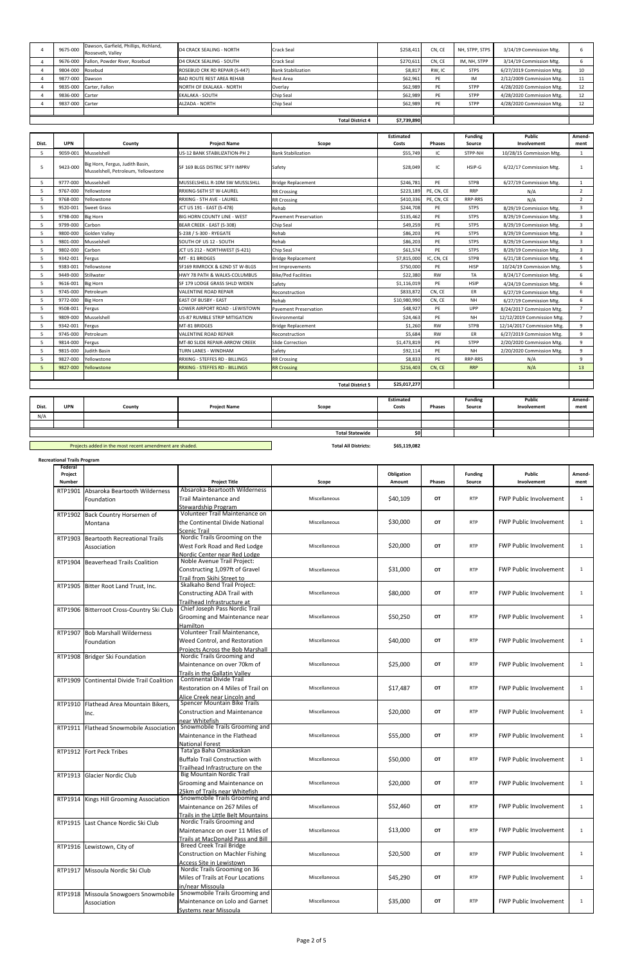| 9675-000                | Dawson, Garfield, Phillips, Richland,<br>Roosevelt, Valley | <b>D4 CRACK SEALING - NORTH</b>  | Crack Seal                | \$258,411   | CN, CE | NH, STPP, STPS | 3/14/19 Commission Mtg.   |    |
|-------------------------|------------------------------------------------------------|----------------------------------|---------------------------|-------------|--------|----------------|---------------------------|----|
| 9676-000                | Fallon, Powder River, Rosebud                              | D4 CRACK SEALING - SOUTH         | Crack Seal                | \$270,611   | CN, CE | IM, NH, STPP   | 3/14/19 Commission Mtg.   |    |
| 9804-000 Rosebud        |                                                            | ROSEBUD CRK RD REPAIR (S-447)    | <b>Bank Stabilization</b> | \$8,817     | RW, IC | <b>STPS</b>    | 6/27/2019 Commission Mtg. | 10 |
| 9877-000 Dawson         |                                                            | <b>BAD ROUTE REST AREA REHAB</b> | Rest Area                 | \$62,961    | PE     | IM             | 2/12/2009 Commission Mtg. | 11 |
|                         | 9835-000 Carter, Fallon                                    | NORTH OF EKALAKA - NORTH         | Overlay                   | \$62,989    | PE     | <b>STPP</b>    | 4/28/2020 Commission Mtg. | 12 |
| 9836-000 Carter         |                                                            | EKALAKA - SOUTH                  | Chip Seal                 | \$62,989    | PE     | <b>STPP</b>    | 4/28/2020 Commission Mtg. | 12 |
| 9837-000 Carter         |                                                            | ALZADA - NORTH                   | Chip Seal                 | \$62,989    | PE     | <b>STPP</b>    | 4/28/2020 Commission Mtg. | 12 |
|                         |                                                            |                                  |                           |             |        |                |                           |    |
| <b>Total District 4</b> |                                                            |                                  |                           | \$7,739,890 |        |                |                           |    |

Projects added in the most recent amendment are shaded. **Total All Districts: \$65,119,082**

|       |            |                                                                        |                                    |                              | <b>Estimated</b> |               | <b>Funding</b> | <b>Public</b>              | Amend-         |
|-------|------------|------------------------------------------------------------------------|------------------------------------|------------------------------|------------------|---------------|----------------|----------------------------|----------------|
| Dist. | <b>UPN</b> | County                                                                 | <b>Project Name</b>                | Scope                        | Costs            | <b>Phases</b> | Source         | Involvement                | ment           |
| 5     | 9059-001   | Musselshell                                                            | US-12 BANK STABILIZATION-PH 2      | <b>Bank Stabilization</b>    | \$55,749         | IC            | STPP-NH        | 10/28/15 Commission Mtg.   | 1              |
| 5     | 9423-000   | Big Horn, Fergus, Judith Basin,<br>Musselshell, Petroleum, Yellowstone | SF 169 BLGS DISTRIC SFTY IMPRV     | Safety                       | \$28,049         | IC            | HSIP-G         | 6/22/17 Commission Mtg.    | 1              |
| 5     | 9777-000   | Musselshell                                                            | MUSSELSHELL R-10M SW MUSSLSHLL     | <b>Bridge Replacement</b>    | \$246,781        | PE            | <b>STPB</b>    | 6/27/19 Commission Mtg.    | $\mathbf{1}$   |
| 5     | 9767-000   | Yellowstone                                                            | RRXING-56TH ST W-LAUREL            | <b>RR Crossing</b>           | \$223.189        | PE, CN, CE    | <b>RRP</b>     | N/A                        | $\overline{2}$ |
| 5     | 9768-000   | Yellowstone                                                            | RRXING - 5TH AVE - LAUREL          | <b>RR Crossing</b>           | \$410,336        | PE, CN, CE    | RRP-RRS        | N/A                        | $\overline{2}$ |
| 5     | 9520-001   | Sweet Grass                                                            | JCT US 191 - EAST (S-478)          | Rehab                        | \$244,708        | PE            | <b>STPS</b>    | 8/29/19 Commission Mtg.    | 3              |
| .5    | 9798-000   | <b>Big Horn</b>                                                        | <b>BIG HORN COUNTY LINE - WEST</b> | <b>Pavement Preservation</b> | \$135,462        | PE            | <b>STPS</b>    | 8/29/19 Commission Mtg.    | 3              |
| .5    | 9799-000   | Carbon                                                                 | BEAR CREEK - EAST (S-308)          | Chip Seal                    | \$49,259         | PE            | <b>STPS</b>    | 8/29/19 Commission Mtg.    | 3              |
| 5     | 9800-000   | <b>Golden Valley</b>                                                   | S-238 / S-300 - RYEGATE            | Rehab                        | \$86,203         | PE            | <b>STPS</b>    | 8/29/19 Commission Mtg.    | $\overline{3}$ |
| 5     | 9801-000   | Musselshell                                                            | SOUTH OF US 12 - SOUTH             | Rehab                        | \$86,203         | PE            | <b>STPS</b>    | 8/29/19 Commission Mtg.    | 3              |
| 5     | 9802-000   | Carbon                                                                 | JCT US 212 - NORTHWEST (S-421)     | Chip Seal                    | \$61,574         | PE            | <b>STPS</b>    | 8/29/19 Commission Mtg.    | $\overline{3}$ |
| 5     | 9342-001   | Fergus                                                                 | MT - 81 BRIDGES                    | <b>Bridge Replacement</b>    | \$7,815,000      | IC, CN, CE    | <b>STPB</b>    | 6/21/18 Commission Mtg.    | $\overline{a}$ |
| .5    | 9383-001   | Yellowstone                                                            | SF169 RIMROCK & 62ND ST W-BLGS     | Int Improvements             | \$750,000        | PE            | <b>HISP</b>    | 10/24/19 Commission Mtg.   | 5              |
| 5     | 9449-000   | Stillwater                                                             | HWY 78 PATH & WALKS-COLUMBUS       | <b>Bike/Ped Facilities</b>   | \$22,380         | <b>RW</b>     | <b>TA</b>      | 8/24/17 Commission Mtg.    | 6              |
| 5     | 9616-001   | <b>Big Horn</b>                                                        | SF 179 LODGE GRASS SHLD WIDEN      | Safety                       | \$1,116,019      | PE            | <b>HSIP</b>    | 4/24/19 Commission Mtg.    | 6              |
| 5     | 9745-000   | Petroleum                                                              | VALENTINE ROAD REPAIR              | Reconstruction               | \$833,872        | CN, CE        | ER             | 6/27/19 Commission Mtg.    | 6              |
| 5     | 9772-000   | <b>Big Horn</b>                                                        | EAST OF BUSBY - EAST               | Rehab                        | \$10,980,990     | CN, CE        | <b>NH</b>      | 6/27/19 Commission Mtg.    | 6              |
| 5     | 9508-001   | Fergus                                                                 | LOWER AIRPORT ROAD - LEWISTOWN     | <b>Pavement Preservation</b> | \$48,927         | PE            | <b>UPP</b>     | 8/24/2017 Commission Mtg.  | $7^{\circ}$    |
| 5     | 9809-000   | Musselshell                                                            | US-87 RUMBLE STRIP MITIGATION      | Environmental                | \$24,463         | PE            | <b>NH</b>      | 12/12/2019 Commission Mtg. | $\overline{7}$ |
| 5     | 9342-001   | Fergus                                                                 | MT-81 BRIDGES                      | <b>Bridge Replacement</b>    | \$1,260          | <b>RW</b>     | <b>STPB</b>    | 12/14/2017 Commission Mtg. | 9              |
| 5     | 9745-000   | Petroleum                                                              | VALENTINE ROAD REPAIR              | Reconstruction               | \$5,684          | RW            | ER             | 6/27/2019 Commission Mtg.  | 9              |
| .5    | 9814-000   | Fergus                                                                 | MT-80 SLIDE REPAIR-ARROW CREEK     | Slide Correction             | \$1,473,819      | PE            | <b>STPP</b>    | 2/20/2020 Commission Mtg.  | 9              |
| 5     | 9815-000   | Judith Basin                                                           | TURN LANES - WINDHAM               | Safety                       | \$92,114         | PE            | <b>NH</b>      | 2/20/2020 Commission Mtg.  | 9              |
| .5    | 9827-000   | Yellowstone                                                            | RRXING - STEFFES RD - BILLINGS     | <b>RR Crossing</b>           | \$8,833          | PE            | RRP-RRS        | N/A                        | 9              |
| 5     | 9827-000   | Yellowstone                                                            | RRXING - STEFFES RD - BILLINGS     | <b>RR Crossing</b>           | \$216,403        | CN, CE        | <b>RRP</b>     | N/A                        | 13             |
|       |            |                                                                        |                                    |                              |                  |               |                |                            |                |
|       |            |                                                                        |                                    | <b>Total District 5</b>      | \$25,017,277     |               |                |                            |                |

| Dist. | <b>UPN</b>             | County | <b>Project Name</b> | Scope | <b>Estimated</b><br>Costs | Phases | <b>Funding</b><br>Source | <b>Public</b><br>Involvement | Amend-<br>ment |
|-------|------------------------|--------|---------------------|-------|---------------------------|--------|--------------------------|------------------------------|----------------|
| N/A   |                        |        |                     |       |                           |        |                          |                              |                |
|       |                        |        |                     |       |                           |        |                          |                              |                |
|       | <b>Total Statewide</b> |        |                     |       |                           |        |                          |                              |                |

| <b>Recreational Trails Program</b> |                                                      |                                                                                                          |               |                      |               |                          |                               |                |
|------------------------------------|------------------------------------------------------|----------------------------------------------------------------------------------------------------------|---------------|----------------------|---------------|--------------------------|-------------------------------|----------------|
| Federal<br>Project<br>Number       |                                                      | <b>Project Title</b>                                                                                     | Scope         | Obligation<br>Amount | <b>Phases</b> | <b>Funding</b><br>Source | Public<br>Involvement         | Amend-<br>ment |
| RTP1901                            | Absaroka Beartooth Wilderness<br>Foundation          | Absaroka-Beartooth Wilderness<br>Trail Maintenance and<br>Stewardship Program                            | Miscellaneous | \$40,109             | OT            | <b>RTP</b>               | <b>FWP Public Involvement</b> | $\mathbf{1}$   |
| RTP1902                            | Back Country Horsemen of<br>Montana                  | Volunteer Trail Maintenance on<br>the Continental Divide National<br>Scenic Trail                        | Miscellaneous | \$30,000             | OT            | <b>RTP</b>               | <b>FWP Public Involvement</b> | $\mathbf{1}$   |
| RTP1903                            | <b>Beartooth Recreational Trails</b><br>Association  | Nordic Trails Grooming on the<br>West Fork Road and Red Lodge<br>Nordic Center near Red Lodge            | Miscellaneous | \$20,000             | OT            | <b>RTP</b>               | <b>FWP Public Involvement</b> | $\mathbf{1}$   |
| RTP1904                            | <b>Beaverhead Trails Coalition</b>                   | Noble Avenue Trail Project:<br>Constructing 1,097ft of Gravel<br>Trail from Skihi Street to              | Miscellaneous | \$31,000             | OТ            | <b>RTP</b>               | <b>FWP Public Involvement</b> | $\mathbf{1}$   |
| RTP1905                            | Bitter Root Land Trust, Inc.                         | Skalkaho Bend Trail Project:<br>Constructing ADA Trail with<br>Trailhead Infrastructure at               | Miscellaneous | \$80,000             | OT            | <b>RTP</b>               | <b>FWP Public Involvement</b> | $\mathbf{1}$   |
|                                    | RTP1906 Bitterroot Cross-Country Ski Club            | Chief Joseph Pass Nordic Trail<br>Grooming and Maintenance near<br>Hamilton                              | Miscellaneous | \$50,250             | OТ            | <b>RTP</b>               | <b>FWP Public Involvement</b> | $\mathbf{1}$   |
| RTP1907                            | <b>Bob Marshall Wilderness</b><br>Foundation         | Volunteer Trail Maintenance,<br>Weed Control, and Restoration<br><b>Projects Across the Bob Marshall</b> | Miscellaneous | \$40,000             | OT            | <b>RTP</b>               | <b>FWP Public Involvement</b> | $\mathbf{1}$   |
|                                    | RTP1908 Bridger Ski Foundation                       | Nordic Trails Grooming and<br>Maintenance on over 70km of<br>Trails in the Gallatin Valley               | Miscellaneous | \$25,000             | OT.           | <b>RTP</b>               | <b>FWP Public Involvement</b> | $\mathbf{1}$   |
| RTP1909                            | <b>Continental Divide Trail Coalition</b>            | <b>Continental Divide Trail</b><br>Restoration on 4 Miles of Trail on<br>Alice Creek near Lincoln and    | Miscellaneous | \$17,487             | OT            | <b>RTP</b>               | <b>FWP Public Involvement</b> | $\mathbf{1}$   |
| RTP1910                            | Flathead Area Mountain Bikers,<br>Inc.               | Spencer Mountain Bike Trails<br><b>Construction and Maintenance</b><br>near Whitefish                    | Miscellaneous | \$20,000             | OT            | <b>RTP</b>               | <b>FWP Public Involvement</b> | $\mathbf{1}$   |
| RTP1911                            | <b>Flathead Snowmobile Association</b>               | Snowmobile Trails Grooming and<br>Maintenance in the Flathead<br><b>National Forest</b>                  | Miscellaneous | \$55,000             | OT            | <b>RTP</b>               | <b>FWP Public Involvement</b> | $\mathbf{1}$   |
|                                    | RTP1912 Fort Peck Tribes                             | Tata'ga Baha Omaskaskan<br><b>Buffalo Trail Construction with</b><br>Trailhead Infrastructure on the     | Miscellaneous | \$50,000             | OT.           | <b>RTP</b>               | <b>FWP Public Involvement</b> | $\mathbf{1}$   |
|                                    | RTP1913 Glacier Nordic Club                          | <b>Big Mountain Nordic Trail</b><br>Grooming and Maintenance on<br>25km of Trails near Whitefish         | Miscellaneous | \$20,000             | OT            | <b>RTP</b>               | <b>FWP Public Involvement</b> | $\mathbf{1}$   |
|                                    | RTP1914 Kings Hill Grooming Association              | Snowmobile Trails Grooming and<br>Maintenance on 267 Miles of<br>Trails in the Little Belt Mountains     | Miscellaneous | \$52,460             | OT            | <b>RTP</b>               | FWP Public Involvement        | 1              |
|                                    | RTP1915 Last Chance Nordic Ski Club                  | Nordic Trails Grooming and<br>Maintenance on over 11 Miles of<br>Trails at MacDonald Pass and Bill       | Miscellaneous | \$13,000             | OT            | <b>RTP</b>               | <b>FWP Public Involvement</b> | 1              |
|                                    | RTP1916 Lewistown, City of                           | <b>Breed Creek Trail Bridge</b><br><b>Construction on Machler Fishing</b><br>Access Site in Lewistown    | Miscellaneous | \$20,500             | OT            | <b>RTP</b>               | <b>FWP Public Involvement</b> | $\mathbf{1}$   |
|                                    | RTP1917 Missoula Nordic Ski Club                     | Nordic Trails Grooming on 36<br>Miles of Trails at Four Locations<br>in/near Missoula                    | Miscellaneous | \$45,290             | OT            | <b>RTP</b>               | <b>FWP Public Involvement</b> | $\mathbf{1}$   |
|                                    | RTP1918 Missoula Snowgoers Snowmobile<br>Association | Snowmobile Trails Grooming and<br>Maintenance on Lolo and Garnet<br>Systems near Missoula                | Miscellaneous | \$35,000             | OT            | <b>RTP</b>               | <b>FWP Public Involvement</b> | $\mathbf{1}$   |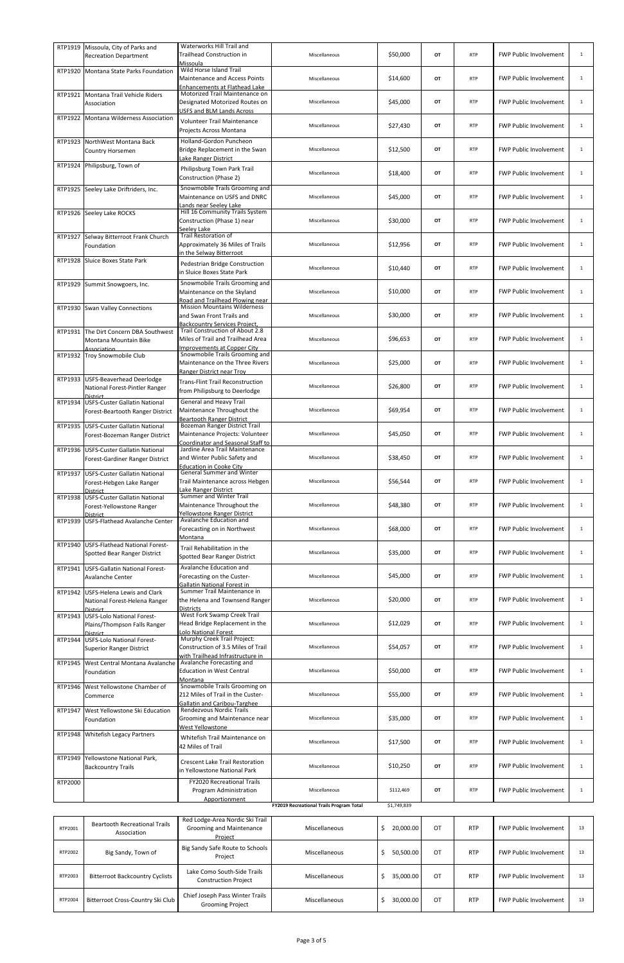| RTP1919 | Missoula, City of Parks and<br><b>Recreation Department</b>                            | Waterworks Hill Trail and<br>Trailhead Construction in<br>Missoula                                         | Miscellaneous                            | \$50,000        | OT | <b>RTP</b> | <b>FWP Public Involvement</b> | $\mathbf{1}$ |
|---------|----------------------------------------------------------------------------------------|------------------------------------------------------------------------------------------------------------|------------------------------------------|-----------------|----|------------|-------------------------------|--------------|
|         | RTP1920 Montana State Parks Foundation                                                 | Wild Horse Island Trail<br>Maintenance and Access Points<br>Enhancements at Flathead Lake                  | Miscellaneous                            | \$14,600        | OT | <b>RTP</b> | <b>FWP Public Involvement</b> | $\mathbf{1}$ |
|         | RTP1921 Montana Trail Vehicle Riders<br>Association                                    | Motorized Trail Maintenance on<br>Designated Motorized Routes on<br>USFS and BLM Lands Across              | Miscellaneous                            | \$45,000        | OT | <b>RTP</b> | <b>FWP Public Involvement</b> | $\mathbf{1}$ |
|         | RTP1922 Montana Wilderness Association                                                 | <b>Volunteer Trail Maintenance</b><br>Projects Across Montana                                              | Miscellaneous                            | \$27,430        | OT | <b>RTP</b> | <b>FWP Public Involvement</b> | $\mathbf{1}$ |
|         | RTP1923 NorthWest Montana Back<br>Country Horsemen                                     | Holland-Gordon Puncheon<br>Bridge Replacement in the Swan<br>Lake Ranger District                          | Miscellaneous                            | \$12,500        | OT | <b>RTP</b> | FWP Public Involvement        | $\mathbf{1}$ |
|         | RTP1924 Philipsburg, Town of                                                           | Philipsburg Town Park Trail<br>Construction (Phase 2)                                                      | Miscellaneous                            | \$18,400        | OT | <b>RTP</b> | FWP Public Involvement        | $\mathbf{1}$ |
|         | RTP1925 Seeley Lake Driftriders, Inc.                                                  | Snowmobile Trails Grooming and<br>Maintenance on USFS and DNRC<br>ands near Seeley Lake                    | Miscellaneous                            | \$45,000        | OT | <b>RTP</b> | FWP Public Involvement        | $\mathbf{1}$ |
|         | RTP1926 Seeley Lake ROCKS                                                              | Hill 16 Community Trails System<br>Construction (Phase 1) near<br>Seelev Lake                              | Miscellaneous                            | \$30,000        | OT | <b>RTP</b> | <b>FWP Public Involvement</b> | $\mathbf{1}$ |
| RTP1927 | Selway Bitterroot Frank Church<br>Foundation                                           | <b>Trail Restoration of</b><br>Approximately 36 Miles of Trails<br>in the Selway Bitterroot                | Miscellaneous                            | \$12,956        | OT | <b>RTP</b> | <b>FWP Public Involvement</b> | $\mathbf{1}$ |
|         | RTP1928 Sluice Boxes State Park                                                        | Pedestrian Bridge Construction<br>in Sluice Boxes State Park                                               | Miscellaneous                            | \$10,440        | OT | <b>RTP</b> | <b>FWP Public Involvement</b> | $\mathbf{1}$ |
|         | RTP1929 Summit Snowgoers, Inc.                                                         | Snowmobile Trails Grooming and<br>Maintenance on the Skyland<br>Road and Trailhead Plowing near            | Miscellaneous                            | \$10,000        | OT | <b>RTP</b> | <b>FWP Public Involvement</b> | $\mathbf{1}$ |
|         | RTP1930 Swan Valley Connections                                                        | <b>Mission Mountains Wilderness</b><br>and Swan Front Trails and<br><b>Backcountry Services Project,</b>   | Miscellaneous                            | \$30,000        | OT | <b>RTP</b> | <b>FWP Public Involvement</b> | $\mathbf{1}$ |
|         | RTP1931 The Dirt Concern DBA Southwest<br>Montana Mountain Bike<br>Association         | Trail Construction of About 2.8<br>Miles of Trail and Trailhead Area<br><b>Improvements at Copper City</b> | Miscellaneous                            | \$96,653        | OT | <b>RTP</b> | <b>FWP Public Involvement</b> | $\mathbf{1}$ |
|         | RTP1932 Troy Snowmobile Club                                                           | Snowmobile Trails Grooming and<br>Maintenance on the Three Rivers<br>Ranger District near Troy             | Miscellaneous                            | \$25,000        | OT | <b>RTP</b> | <b>FWP Public Involvement</b> | $\mathbf{1}$ |
|         | RTP1933 USFS-Beaverhead Deerlodge<br>National Forest-Pintler Ranger<br><b>District</b> | <b>Trans-Flint Trail Reconstruction</b><br>from Philipsburg to Deerlodge                                   | Miscellaneous                            | \$26,800        | OT | <b>RTP</b> | <b>FWP Public Involvement</b> | 1            |
| RTP1934 | <b>USFS-Custer Gallatin National</b><br>Forest-Beartooth Ranger District               | General and Heavy Trail<br>Maintenance Throughout the<br><b>Beartooth Ranger District</b>                  | Miscellaneous                            | \$69,954        | OT | <b>RTP</b> | <b>FWP Public Involvement</b> | $\mathbf{1}$ |
|         | RTP1935 USFS-Custer Gallatin National<br>Forest-Bozeman Ranger District                | Bozeman Ranger District Trail<br>Maintenance Projects: Volunteer<br>Coordinator and Seasonal Staff to      | Miscellaneous                            | \$45,050        | OT | <b>RTP</b> | <b>FWP Public Involvement</b> | $\mathbf{1}$ |
|         | RTP1936 USFS-Custer Gallatin National<br>Forest-Gardiner Ranger District               | Jardine Area Trail Maintenance<br>and Winter Public Safety and<br><b>Education in Cooke City</b>           | Miscellaneous                            | \$38,450        | OT | <b>RTP</b> | <b>FWP Public Involvement</b> | $\mathbf{1}$ |
|         | RTP1937 USFS-Custer Gallatin National<br>Forest-Hebgen Lake Ranger<br><b>District</b>  | <b>General Summer and Winter</b><br>Trail Maintenance across Hebgen<br>Lake Ranger District                | Miscellaneous                            | \$56,544        | OT | <b>RTP</b> | <b>FWP Public Involvement</b> | $\mathbf{1}$ |
|         | RTP1938 USFS-Custer Gallatin National<br>Forest-Yellowstone Ranger<br>District         | Summer and Winter Trail<br>Maintenance Throughout the<br><b>Yellowstone Ranger District</b>                | Miscellaneous                            | \$48,380        | OT | <b>RTP</b> | <b>FWP Public Involvement</b> | $\mathbf{1}$ |
|         | RTP1939 USFS-Flathead Avalanche Center                                                 | Avalanche Education and<br>Forecasting on in Northwest<br>Montana                                          | Miscellaneous                            | \$68,000        | OT | <b>RTP</b> | <b>FWP Public Involvement</b> | $\mathbf{1}$ |
|         | RTP1940 USFS-Flathead National Forest-<br>Spotted Bear Ranger District                 | Trail Rehabilitation in the<br>Spotted Bear Ranger District                                                | Miscellaneous                            | \$35,000        | OT | <b>RTP</b> | <b>FWP Public Involvement</b> | $\mathbf{1}$ |
| RTP1941 | USFS-Gallatin National Forest-<br><b>Avalanche Center</b>                              | Avalanche Education and<br>Forecasting on the Custer-<br>Gallatin National Forest in                       | Miscellaneous                            | \$45,000        | OT | <b>RTP</b> | <b>FWP Public Involvement</b> | $\mathbf{1}$ |
| RTP1942 | <b>USFS-Helena Lewis and Clark</b><br>National Forest-Helena Ranger<br>District        | Summer Trail Maintenance in<br>the Helena and Townsend Ranger<br><b>Districts</b>                          | Miscellaneous                            | \$20,000        | OT | <b>RTP</b> | <b>FWP Public Involvement</b> | $\mathbf{1}$ |
| RTP1943 | <b>USFS-Lolo National Forest-</b><br>Plains/Thompson Falls Ranger<br><b>District</b>   | West Fork Swamp Creek Trail<br>Head Bridge Replacement in the<br>Lolo National Forest                      | Miscellaneous                            | \$12,029        | OT | <b>RTP</b> | <b>FWP Public Involvement</b> | $\mathbf{1}$ |
|         | RTP1944 USFS-Lolo National Forest-<br><b>Superior Ranger District</b>                  | Murphy Creek Trail Project:<br>Construction of 3.5 Miles of Trail<br>with Trailhead Infrastructure in      | Miscellaneous                            | \$54,057        | OT | <b>RTP</b> | <b>FWP Public Involvement</b> | $\mathbf{1}$ |
| RTP1945 | West Central Montana Avalanche<br>Foundation                                           | Avalanche Forecasting and<br><b>Education in West Central</b><br>Montana                                   | Miscellaneous                            | \$50,000        | OT | <b>RTP</b> | <b>FWP Public Involvement</b> | $\mathbf{1}$ |
| RTP1946 | West Yellowstone Chamber of<br>Commerce                                                | Snowmobile Trails Grooming on<br>212 Miles of Trail in the Custer-<br>Gallatin and Caribou-Targhee         | Miscellaneous                            | \$55,000        | OT | <b>RTP</b> | <b>FWP Public Involvement</b> | $\mathbf{1}$ |
| RTP1947 | West Yellowstone Ski Education<br>Foundation                                           | Rendezvous Nordic Trails<br>Grooming and Maintenance near<br>West Yellowstone                              | Miscellaneous                            | \$35,000        | OT | <b>RTP</b> | <b>FWP Public Involvement</b> | $\mathbf{1}$ |
| RTP1948 | <b>Whitefish Legacy Partners</b>                                                       | Whitefish Trail Maintenance on<br>42 Miles of Trail                                                        | Miscellaneous                            | \$17,500        | OT | <b>RTP</b> | <b>FWP Public Involvement</b> | 1            |
| RTP1949 | Yellowstone National Park,<br><b>Backcountry Trails</b>                                | <b>Crescent Lake Trail Restoration</b><br>in Yellowstone National Park                                     | Miscellaneous                            | \$10,250        | OT | <b>RTP</b> | <b>FWP Public Involvement</b> | $\mathbf{1}$ |
| RTP2000 |                                                                                        | <b>FY2020 Recreational Trails</b><br>Program Administration<br>Apportionment                               | Miscellaneous                            | \$112,469       | OT | <b>RTP</b> | <b>FWP Public Involvement</b> | 1            |
|         |                                                                                        |                                                                                                            | FY2019 Recreational Trails Program Total | \$1,749,839     |    |            |                               |              |
| RTP2001 | <b>Beartooth Recreational Trails</b><br>Association                                    | Red Lodge-Area Nordic Ski Trail<br>Grooming and Maintenance<br>Project                                     | Miscellaneous                            | \$<br>20,000.00 | OT | <b>RTP</b> | <b>FWP Public Involvement</b> | 13           |
| RTP2002 | Big Sandy, Town of                                                                     | Big Sandy Safe Route to Schools<br>Project                                                                 | Miscellaneous                            | \$<br>50,500.00 | OT | <b>RTP</b> | <b>FWP Public Involvement</b> | 13           |
| RTP2003 | <b>Bitterroot Backcountry Cyclists</b>                                                 | Lake Como South-Side Trails<br><b>Construction Project</b>                                                 | Miscellaneous                            | \$<br>35,000.00 | OT | <b>RTP</b> | <b>FWP Public Involvement</b> | 13           |
| RTP2004 | Bitterroot Cross-Country Ski Club                                                      | Chief Joseph Pass Winter Trails<br><b>Grooming Project</b>                                                 | Miscellaneous                            | \$<br>30,000.00 | OT | <b>RTP</b> | <b>FWP Public Involvement</b> | 13           |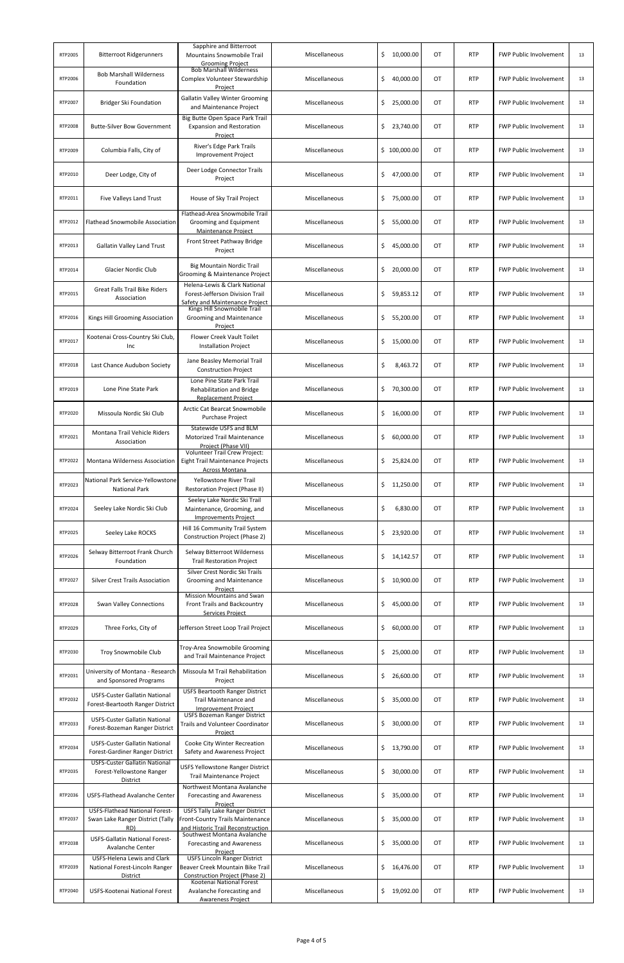| RTP2005 | <b>Bitterroot Ridgerunners</b>                                                   | Sapphire and Bitterroot<br><b>Mountains Snowmobile Trail</b><br><b>Grooming Project</b>                         | Miscellaneous | \$<br>10,000.00 | OT        | <b>RTP</b> | <b>FWP Public Involvement</b> | 13 |
|---------|----------------------------------------------------------------------------------|-----------------------------------------------------------------------------------------------------------------|---------------|-----------------|-----------|------------|-------------------------------|----|
| RTP2006 | <b>Bob Marshall Wilderness</b><br>Foundation                                     | <b>Bob Marshall Wilderness</b><br>Complex Volunteer Stewardship<br>Project                                      | Miscellaneous | \$<br>40,000.00 | OT        | <b>RTP</b> | <b>FWP Public Involvement</b> | 13 |
| RTP2007 | Bridger Ski Foundation                                                           | <b>Gallatin Valley Winter Grooming</b><br>and Maintenance Project                                               | Miscellaneous | \$<br>25,000.00 | OT        | <b>RTP</b> | <b>FWP Public Involvement</b> | 13 |
| RTP2008 | <b>Butte-Silver Bow Government</b>                                               | Big Butte Open Space Park Trail<br><b>Expansion and Restoration</b><br>Project                                  | Miscellaneous | \$<br>23,740.00 | OT        | <b>RTP</b> | <b>FWP Public Involvement</b> | 13 |
| RTP2009 | Columbia Falls, City of                                                          | River's Edge Park Trails<br><b>Improvement Project</b>                                                          | Miscellaneous | \$100,000.00    | OT        | <b>RTP</b> | <b>FWP Public Involvement</b> | 13 |
| RTP2010 | Deer Lodge, City of                                                              | Deer Lodge Connector Trails<br>Project                                                                          | Miscellaneous | \$<br>47,000.00 | OT        | <b>RTP</b> | <b>FWP Public Involvement</b> | 13 |
| RTP2011 | Five Valleys Land Trust                                                          | House of Sky Trail Project                                                                                      | Miscellaneous | \$<br>75,000.00 | OT        | <b>RTP</b> | <b>FWP Public Involvement</b> | 13 |
| RTP2012 | Flathead Snowmobile Association                                                  | Flathead-Area Snowmobile Trail<br>Grooming and Equipment<br>Maintenance Project                                 | Miscellaneous | \$<br>55,000.00 | ОT        | <b>RTP</b> | <b>FWP Public Involvement</b> | 13 |
| RTP2013 | <b>Gallatin Valley Land Trust</b>                                                | Front Street Pathway Bridge<br>Project                                                                          | Miscellaneous | \$<br>45,000.00 | OT        | <b>RTP</b> | <b>FWP Public Involvement</b> | 13 |
| RTP2014 | Glacier Nordic Club                                                              | <b>Big Mountain Nordic Trail</b><br>Grooming & Maintenance Project                                              | Miscellaneous | \$<br>20,000.00 | OT        | <b>RTP</b> | <b>FWP Public Involvement</b> | 13 |
| RTP2015 | <b>Great Falls Trail Bike Riders</b><br>Association                              | Helena-Lewis & Clark National<br>Forest-Jefferson Division Trail<br>Safety and Maintenance Project              | Miscellaneous | \$<br>59,853.12 | OT        | <b>RTP</b> | <b>FWP Public Involvement</b> | 13 |
| RTP2016 | Kings Hill Grooming Association                                                  | Kings Hill Snowmobile Trail<br>Grooming and Maintenance<br>Project                                              | Miscellaneous | \$<br>55,200.00 | ОT        | <b>RTP</b> | <b>FWP Public Involvement</b> | 13 |
| RTP2017 | Kootenai Cross-Country Ski Club,<br>Inc                                          | Flower Creek Vault Toilet<br><b>Installation Project</b>                                                        | Miscellaneous | \$<br>15,000.00 | OT        | <b>RTP</b> | <b>FWP Public Involvement</b> | 13 |
| RTP2018 | Last Chance Audubon Society                                                      | Jane Beasley Memorial Trail<br><b>Construction Project</b>                                                      | Miscellaneous | \$<br>8,463.72  | OT        | <b>RTP</b> | <b>FWP Public Involvement</b> | 13 |
| RTP2019 | Lone Pine State Park                                                             | Lone Pine State Park Trail<br>Rehabilitation and Bridge<br><b>Replacement Project</b>                           | Miscellaneous | \$<br>70,300.00 | OT        | <b>RTP</b> | <b>FWP Public Involvement</b> | 13 |
| RTP2020 | Missoula Nordic Ski Club                                                         | <b>Arctic Cat Bearcat Snowmobile</b><br>Purchase Project                                                        | Miscellaneous | \$<br>16,000.00 | OT        | <b>RTP</b> | <b>FWP Public Involvement</b> | 13 |
| RTP2021 | Montana Trail Vehicle Riders<br>Association                                      | Statewide USFS and BLM<br><b>Motorized Trail Maintenance</b><br>Project (Phase VII)                             | Miscellaneous | \$<br>60,000.00 | OT        | <b>RTP</b> | <b>FWP Public Involvement</b> | 13 |
| RTP2022 | <b>Montana Wilderness Association</b>                                            | <b>Volunteer Trail Crew Project:</b><br>Eight Trail Maintenance Projects<br><b>Across Montana</b>               | Miscellaneous | \$<br>25,824.00 | OT        | <b>RTP</b> | <b>FWP Public Involvement</b> | 13 |
| RTP2023 | National Park Service-Yellowstone<br><b>National Park</b>                        | Yellowstone River Trail<br>Restoration Project (Phase II)                                                       | Miscellaneous | \$<br>11,250.00 | OT        | <b>RTP</b> | <b>FWP Public Involvement</b> | 13 |
| RTP2024 | Seeley Lake Nordic Ski Club                                                      | Seeley Lake Nordic Ski Trail<br>Maintenance, Grooming, and<br><b>Improvements Project</b>                       | Miscellaneous | \$<br>6,830.00  | OT        | <b>RTP</b> | <b>FWP Public Involvement</b> | 13 |
| RTP2025 | Seeley Lake ROCKS                                                                | Hill 16 Community Trail System<br>Construction Project (Phase 2)                                                | Miscellaneous | \$<br>23,920.00 | OT        | <b>RTP</b> | <b>FWP Public Involvement</b> | 13 |
| RTP2026 | Selway Bitterroot Frank Church<br>Foundation                                     | Selway Bitterroot Wilderness<br><b>Trail Restoration Project</b>                                                | Miscellaneous | \$<br>14,142.57 | OT        | <b>RTP</b> | <b>FWP Public Involvement</b> | 13 |
| RTP2027 | <b>Silver Crest Trails Association</b>                                           | Silver Crest Nordic Ski Trails<br>Grooming and Maintenance<br>Project                                           | Miscellaneous | \$<br>10,900.00 | <b>OT</b> | <b>RTP</b> | <b>FWP Public Involvement</b> | 13 |
| RTP2028 | <b>Swan Valley Connections</b>                                                   | <b>Mission Mountains and Swan</b><br><b>Front Trails and Backcountry</b><br>Services Project                    | Miscellaneous | \$<br>45,000.00 | OT        | <b>RTP</b> | <b>FWP Public Involvement</b> | 13 |
| RTP2029 | Three Forks, City of                                                             | Jefferson Street Loop Trail Project                                                                             | Miscellaneous | \$<br>60,000.00 | OT        | <b>RTP</b> | <b>FWP Public Involvement</b> | 13 |
| RTP2030 | Troy Snowmobile Club                                                             | Troy-Area Snowmobile Grooming<br>and Trail Maintenance Project                                                  | Miscellaneous | \$<br>25,000.00 | OT        | <b>RTP</b> | <b>FWP Public Involvement</b> | 13 |
| RTP2031 | University of Montana - Research<br>and Sponsored Programs                       | Missoula M Trail Rehabilitation<br>Project                                                                      | Miscellaneous | \$<br>26,600.00 | OT        | <b>RTP</b> | <b>FWP Public Involvement</b> | 13 |
| RTP2032 | <b>USFS-Custer Gallatin National</b><br>Forest-Beartooth Ranger District         | <b>USFS Beartooth Ranger District</b><br>Trail Maintenance and<br><b>Improvement Project</b>                    | Miscellaneous | \$<br>35,000.00 | OT        | <b>RTP</b> | <b>FWP Public Involvement</b> | 13 |
| RTP2033 | <b>USFS-Custer Gallatin National</b><br>Forest-Bozeman Ranger District           | <b>USFS Bozeman Ranger District</b><br>Trails and Volunteer Coordinator<br>Project                              | Miscellaneous | \$<br>30,000.00 | OT        | <b>RTP</b> | <b>FWP Public Involvement</b> | 13 |
| RTP2034 | USFS-Custer Gallatin National<br>Forest-Gardiner Ranger District                 | Cooke City Winter Recreation<br>Safety and Awareness Project                                                    | Miscellaneous | 13,790.00<br>Ş  | 0T        | RTP        | FWP Public Involvement        | 13 |
| RTP2035 | <b>USFS-Custer Gallatin National</b><br>Forest-Yellowstone Ranger<br>District    | <b>USFS Yellowstone Ranger District</b><br><b>Trail Maintenance Project</b>                                     | Miscellaneous | \$<br>30,000.00 | OT        | <b>RTP</b> | <b>FWP Public Involvement</b> | 13 |
| RTP2036 | USFS-Flathead Avalanche Center                                                   | Northwest Montana Avalanche<br>Forecasting and Awareness<br>Project                                             | Miscellaneous | \$<br>35,000.00 | OT        | <b>RTP</b> | <b>FWP Public Involvement</b> | 13 |
| RTP2037 | USFS-Flathead National Forest-<br>Swan Lake Ranger District (Tally<br>RD)        | <b>USFS Tally Lake Ranger District</b><br>Front-Country Trails Maintenance<br>and Historic Trail Reconstruction | Miscellaneous | \$<br>35,000.00 | OT        | <b>RTP</b> | <b>FWP Public Involvement</b> | 13 |
| RTP2038 | <b>USFS-Gallatin National Forest-</b><br><b>Avalanche Center</b>                 | Southwest Montana Avalanche<br>Forecasting and Awareness<br>Project                                             | Miscellaneous | \$<br>35,000.00 | OT        | <b>RTP</b> | <b>FWP Public Involvement</b> | 13 |
| RTP2039 | <b>USFS-Helena Lewis and Clark</b><br>National Forest-Lincoln Ranger<br>District | <b>USFS Lincoln Ranger District</b><br>Beaver Creek Mountain Bike Trail<br>Construction Project (Phase 2)       | Miscellaneous | \$<br>16,476.00 | OT        | <b>RTP</b> | <b>FWP Public Involvement</b> | 13 |
| RTP2040 | USFS-Kootenai National Forest                                                    | Kootenai National Forest<br>Avalanche Forecasting and<br><b>Awareness Project</b>                               | Miscellaneous | \$<br>19,092.00 | OT        | <b>RTP</b> | <b>FWP Public Involvement</b> | 13 |